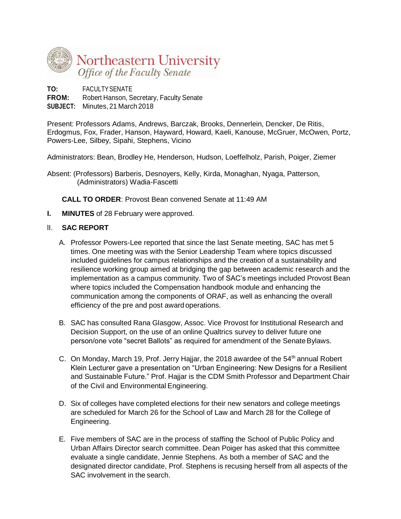

**TO:** FACULTYSENATE

**FROM:** Robert Hanson, Secretary, Faculty Senate **SUBJECT:** Minutes, 21 March 2018

Present: Professors Adams, Andrews, Barczak, Brooks, Dennerlein, Dencker, De Ritis, Erdogmus, Fox, Frader, Hanson, Hayward, Howard, Kaeli, Kanouse, McGruer, McOwen, Portz, Powers-Lee, Silbey, Sipahi, Stephens, Vicino

Administrators: Bean, Brodley He, Henderson, Hudson, Loeffelholz, Parish, Poiger, Ziemer

Absent: (Professors) Barberis, Desnoyers, Kelly, Kirda, Monaghan, Nyaga, Patterson, (Administrators) Wadia-Fascetti

**CALL TO ORDER**: Provost Bean convened Senate at 11:49 AM

**I. MINUTES** of 28 February were approved.

## lI. **SAC REPORT**

- A. Professor Powers-Lee reported that since the last Senate meeting, SAC has met 5 times. One meeting was with the Senior Leadership Team where topics discussed included guidelines for campus relationships and the creation of a sustainability and resilience working group aimed at bridging the gap between academic research and the implementation as a campus community. Two of SAC's meetings included Provost Bean where topics included the Compensation handbook module and enhancing the communication among the components of ORAF, as well as enhancing the overall efficiency of the pre and post award operations.
- B. SAC has consulted Rana Glasgow, Assoc. Vice Provost for Institutional Research and Decision Support, on the use of an online Qualtrics survey to deliver future one person/one vote "secret Ballots" as required for amendment of the Senate Bylaws.
- C. On Monday, March 19, Prof. Jerry Hajjar, the 2018 awardee of the  $54<sup>th</sup>$  annual Robert Klein Lecturer gave a presentation on "Urban Engineering: New Designs for a Resilient and Sustainable Future." Prof. Hajjar is the CDM Smith Professor and Department Chair of the Civil and Environmental Engineering.
- D. Six of colleges have completed elections for their new senators and college meetings are scheduled for March 26 for the School of Law and March 28 for the College of Engineering.
- E. Five members of SAC are in the process of staffing the School of Public Policy and Urban Affairs Director search committee. Dean Poiger has asked that this committee evaluate a single candidate, Jennie Stephens. As both a member of SAC and the designated director candidate, Prof. Stephens is recusing herself from all aspects of the SAC involvement in the search.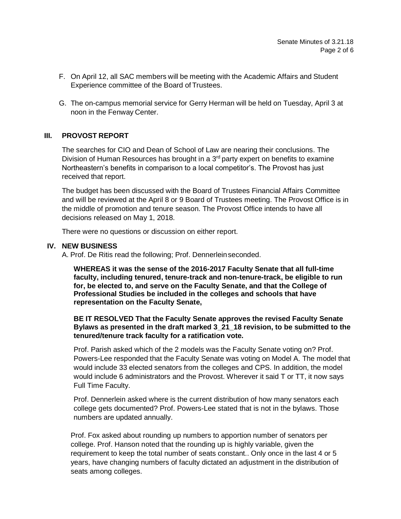- F. On April 12, all SAC members will be meeting with the Academic Affairs and Student Experience committee of the Board of Trustees.
- G. The on-campus memorial service for Gerry Herman will be held on Tuesday, April 3 at noon in the Fenway Center.

# **III. PROVOST REPORT**

The searches for CIO and Dean of School of Law are nearing their conclusions. The Division of Human Resources has brought in a  $3<sup>rd</sup>$  party expert on benefits to examine Northeastern's benefits in comparison to a local competitor's. The Provost has just received that report.

The budget has been discussed with the Board of Trustees Financial Affairs Committee and will be reviewed at the April 8 or 9 Board of Trustees meeting. The Provost Office is in the middle of promotion and tenure season. The Provost Office intends to have all decisions released on May 1, 2018.

There were no questions or discussion on either report.

## **IV. NEW BUSINESS**

A. Prof. De Ritis read the following; Prof. Dennerleinseconded.

**WHEREAS it was the sense of the 2016-2017 Faculty Senate that all full-time faculty, including tenured, tenure-track and non-tenure-track, be eligible to run for, be elected to, and serve on the Faculty Senate, and that the College of Professional Studies be included in the colleges and schools that have representation on the Faculty Senate,**

## **BE IT RESOLVED That the Faculty Senate approves the revised Faculty Senate Bylaws as presented in the draft marked 3\_21\_18 revision, to be submitted to the tenured/tenure track faculty for a ratification vote.**

Prof. Parish asked which of the 2 models was the Faculty Senate voting on? Prof. Powers-Lee responded that the Faculty Senate was voting on Model A. The model that would include 33 elected senators from the colleges and CPS. In addition, the model would include 6 administrators and the Provost. Wherever it said T or TT, it now says Full Time Faculty.

Prof. Dennerlein asked where is the current distribution of how many senators each college gets documented? Prof. Powers-Lee stated that is not in the bylaws. Those numbers are updated annually.

Prof. Fox asked about rounding up numbers to apportion number of senators per college. Prof. Hanson noted that the rounding up is highly variable, given the requirement to keep the total number of seats constant.. Only once in the last 4 or 5 years, have changing numbers of faculty dictated an adjustment in the distribution of seats among colleges.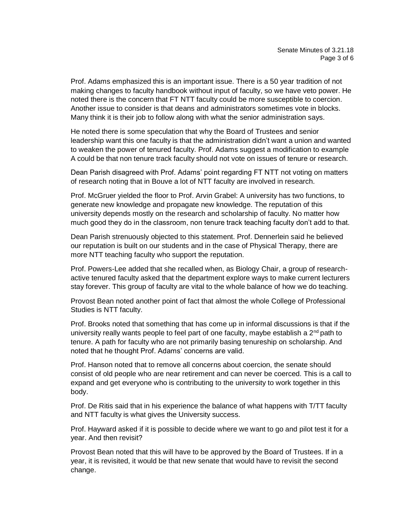Prof. Adams emphasized this is an important issue. There is a 50 year tradition of not making changes to faculty handbook without input of faculty, so we have veto power. He noted there is the concern that FT NTT faculty could be more susceptible to coercion. Another issue to consider is that deans and administrators sometimes vote in blocks. Many think it is their job to follow along with what the senior administration says.

He noted there is some speculation that why the Board of Trustees and senior leadership want this one faculty is that the administration didn't want a union and wanted to weaken the power of tenured faculty. Prof. Adams suggest a modification to example A could be that non tenure track faculty should not vote on issues of tenure or research.

Dean Parish disagreed with Prof. Adams' point regarding FT NTT not voting on matters of research noting that in Bouve a lot of NTT faculty are involved in research.

Prof. McGruer yielded the floor to Prof. Arvin Grabel: A university has two functions, to generate new knowledge and propagate new knowledge. The reputation of this university depends mostly on the research and scholarship of faculty. No matter how much good they do in the classroom, non tenure track teaching faculty don't add to that.

Dean Parish strenuously objected to this statement. Prof. Dennerlein said he believed our reputation is built on our students and in the case of Physical Therapy, there are more NTT teaching faculty who support the reputation.

Prof. Powers-Lee added that she recalled when, as Biology Chair, a group of researchactive tenured faculty asked that the department explore ways to make current lecturers stay forever. This group of faculty are vital to the whole balance of how we do teaching.

Provost Bean noted another point of fact that almost the whole College of Professional Studies is NTT faculty.

Prof. Brooks noted that something that has come up in informal discussions is that if the university really wants people to feel part of one faculty, maybe establish a  $2^{nd}$  path to tenure. A path for faculty who are not primarily basing tenureship on scholarship. And noted that he thought Prof. Adams' concerns are valid.

Prof. Hanson noted that to remove all concerns about coercion, the senate should consist of old people who are near retirement and can never be coerced. This is a call to expand and get everyone who is contributing to the university to work together in this body.

Prof. De Ritis said that in his experience the balance of what happens with T/TT faculty and NTT faculty is what gives the University success.

Prof. Hayward asked if it is possible to decide where we want to go and pilot test it for a year. And then revisit?

Provost Bean noted that this will have to be approved by the Board of Trustees. If in a year, it is revisited, it would be that new senate that would have to revisit the second change.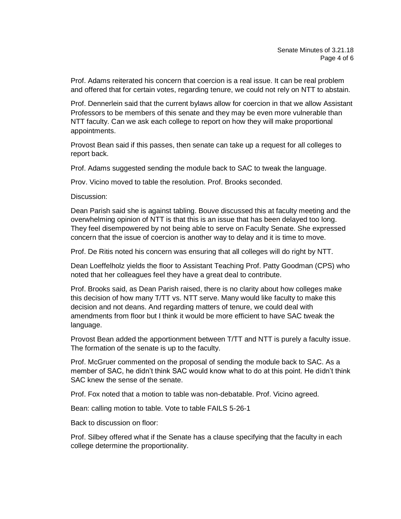Prof. Adams reiterated his concern that coercion is a real issue. It can be real problem and offered that for certain votes, regarding tenure, we could not rely on NTT to abstain.

Prof. Dennerlein said that the current bylaws allow for coercion in that we allow Assistant Professors to be members of this senate and they may be even more vulnerable than NTT faculty. Can we ask each college to report on how they will make proportional appointments.

Provost Bean said if this passes, then senate can take up a request for all colleges to report back.

Prof. Adams suggested sending the module back to SAC to tweak the language.

Prov. Vicino moved to table the resolution. Prof. Brooks seconded.

Discussion:

Dean Parish said she is against tabling. Bouve discussed this at faculty meeting and the overwhelming opinion of NTT is that this is an issue that has been delayed too long. They feel disempowered by not being able to serve on Faculty Senate. She expressed concern that the issue of coercion is another way to delay and it is time to move.

Prof. De Ritis noted his concern was ensuring that all colleges will do right by NTT.

Dean Loeffelholz yields the floor to Assistant Teaching Prof. Patty Goodman (CPS) who noted that her colleagues feel they have a great deal to contribute.

Prof. Brooks said, as Dean Parish raised, there is no clarity about how colleges make this decision of how many T/TT vs. NTT serve. Many would like faculty to make this decision and not deans. And regarding matters of tenure, we could deal with amendments from floor but I think it would be more efficient to have SAC tweak the language.

Provost Bean added the apportionment between T/TT and NTT is purely a faculty issue. The formation of the senate is up to the faculty.

Prof. McGruer commented on the proposal of sending the module back to SAC. As a member of SAC, he didn't think SAC would know what to do at this point. He didn't think SAC knew the sense of the senate.

Prof. Fox noted that a motion to table was non-debatable. Prof. Vicino agreed.

Bean: calling motion to table. Vote to table FAILS 5-26-1

Back to discussion on floor:

Prof. Silbey offered what if the Senate has a clause specifying that the faculty in each college determine the proportionality.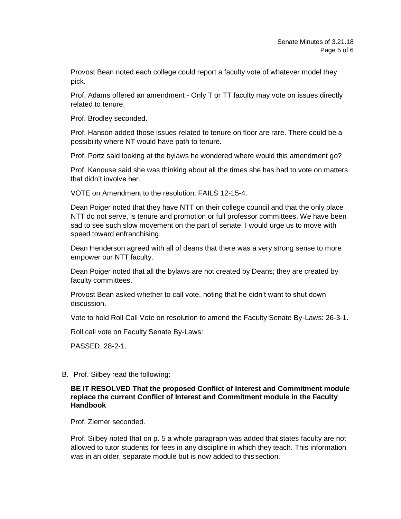Provost Bean noted each college could report a faculty vote of whatever model they pick.

Prof. Adams offered an amendment - Only T or TT faculty may vote on issues directly related to tenure.

Prof. Brodley seconded.

Prof. Hanson added those issues related to tenure on floor are rare. There could be a possibility where NT would have path to tenure.

Prof. Portz said looking at the bylaws he wondered where would this amendment go?

Prof. Kanouse said she was thinking about all the times she has had to vote on matters that didn't involve her

VOTE on Amendment to the resolution: FAILS 12-15-4.

Dean Poiger noted that they have NTT on their college council and that the only place NTT do not serve, is tenure and promotion or full professor committees. We have been sad to see such slow movement on the part of senate. I would urge us to move with speed toward enfranchising.

Dean Henderson agreed with all of deans that there was a very strong sense to more empower our NTT faculty.

Dean Poiger noted that all the bylaws are not created by Deans; they are created by faculty committees.

Provost Bean asked whether to call vote, noting that he didn't want to shut down discussion.

Vote to hold Roll Call Vote on resolution to amend the Faculty Senate By-Laws: 26-3-1.

Roll call vote on Faculty Senate By-Laws:

PASSED, 28-2-1.

B. Prof. Silbey read the following:

## **BE IT RESOLVED That the proposed Conflict of Interest and Commitment module replace the current Conflict of Interest and Commitment module in the Faculty Handbook**

Prof. Ziemer seconded.

Prof. Silbey noted that on p. 5 a whole paragraph was added that states faculty are not allowed to tutor students for fees in any discipline in which they teach. This information was in an older, separate module but is now added to this section.